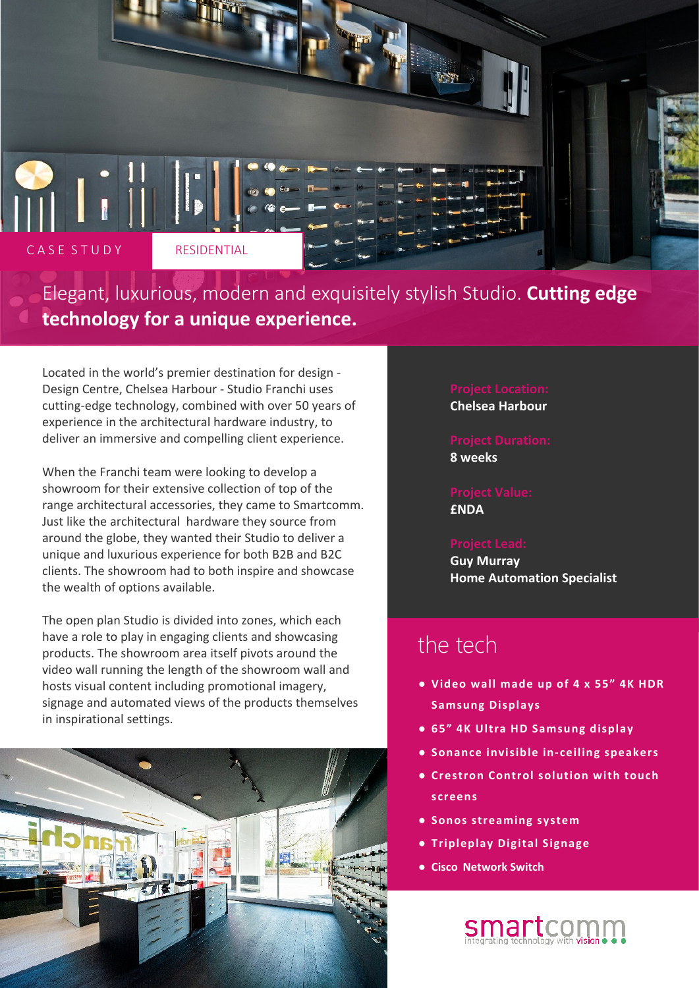

Elegant, luxurious, modern and exquisitely stylish Studio. **Cutting edge technology for a unique experience.**

Located in the world's premier destination for design - Design Centre, Chelsea Harbour - Studio Franchi uses cutting-edge technology, combined with over 50 years of experience in the architectural hardware industry, to deliver an immersive and compelling client experience.

When the Franchi team were looking to develop a showroom for their extensive collection of top of the range architectural accessories, they came to Smartcomm. Just like the architectural hardware they source from around the globe, they wanted their Studio to deliver a unique and luxurious experience for both B2B and B2C clients. The showroom had to both inspire and showcase the wealth of options available.

The open plan Studio is divided into zones, which each have a role to play in engaging clients and showcasing products. The showroom area itself pivots around the video wall running the length of the showroom wall and hosts visual content including promotional imagery, signage and automated views of the products themselves in inspirational settings.



## **Chelsea Harbour**

**8 weeks**

**£NDA**

# **Guy Murray**

**Home Automation Specialist**

### the tech

- **● Video wall made up of 4 x 55" 4K HDR Samsung Displays**
- **● 65" 4K Ultra HD Samsung display**
- **● Sonance invisible in-ceiling speakers**
- **● Crestron Control solution with touch screens**
- **● Sonos streaming system**
- **● Tripleplay Digital Signage**
- **● Cisco Network Switch**